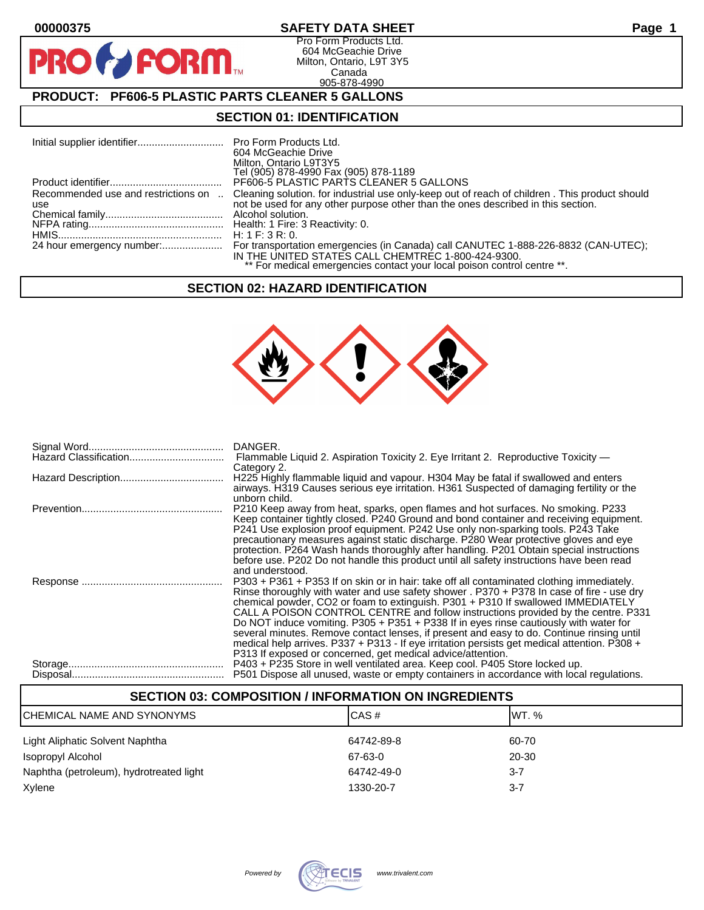$\mathbf O$ 

PF

## **00000375 SAFETY DATA SHEET Page 1**

Pro Form Products Ltd. 604 McGeachie Drive Milton, Ontario, L9T 3Y5 Canada 905-878-4990

## **PRODUCT: PF606-5 PLASTIC PARTS CLEANER 5 GALLONS**

**FORM** 

### **SECTION 01: IDENTIFICATION**

|                                            | <b>Pro Form Products Ltd.</b><br>604 McGeachie Drive<br>Milton, Ontario L9T3Y5<br>Tel (905) 878-4990 Fax (905) 878-1189                                                                                             |
|--------------------------------------------|---------------------------------------------------------------------------------------------------------------------------------------------------------------------------------------------------------------------|
|                                            | PF606-5 PLASTIC PARTS CLEANER 5 GALLONS                                                                                                                                                                             |
| Recommended use and restrictions on<br>use | Cleaning solution, for industrial use only-keep out of reach of children, This product should<br>not be used for any other purpose other than the ones described in this section.<br>Alcohol solution.              |
|                                            | H: 1 F: 3 R: 0.                                                                                                                                                                                                     |
|                                            | For transportation emergencies (in Canada) call CANUTEC 1-888-226-8832 (CAN-UTEC);<br>IN THE UNITED STATES CALL CHEMTREC 1-800-424-9300.<br>** For medical emergencies contact your local poison control centre **. |

### **SECTION 02: HAZARD IDENTIFICATION**



| DANGER.                                                                                      |
|----------------------------------------------------------------------------------------------|
| Flammable Liquid 2. Aspiration Toxicity 2. Eye Irritant 2. Reproductive Toxicity —           |
| Category 2.                                                                                  |
| H225 Highly flammable liquid and vapour. H304 May be fatal if swallowed and enters           |
| airways. H319 Causes serious eye irritation. H361 Suspected of damaging fertility or the     |
| unborn child.                                                                                |
| P210 Keep away from heat, sparks, open flames and hot surfaces. No smoking. P233             |
| Keep container tightly closed. P240 Ground and bond container and receiving equipment.       |
| P241 Use explosion proof equipment. P242 Use only non-sparking tools. P243 Take              |
| precautionary measures against static discharge. P280 Wear protective gloves and eye         |
| protection. P264 Wash hands thoroughly after handling. P201 Obtain special instructions      |
| before use. P202 Do not handle this product until all safety instructions have been read     |
| and understood.                                                                              |
|                                                                                              |
| P303 + P361 + P353 If on skin or in hair: take off all contaminated clothing immediately.    |
| Rinse thoroughly with water and use safety shower . P370 + P378 In case of fire - use dry    |
| chemical powder, CO2 or foam to extinguish. P301 + P310 If swallowed IMMEDIATELY             |
| CALL A POISON CONTROL CENTRE and follow instructions provided by the centre. P331            |
| Do NOT induce vomiting. P305 + P351 + P338 If in eyes rinse cautiously with water for        |
| several minutes. Remove contact lenses, if present and easy to do. Continue rinsing until    |
| medical help arrives. P337 + P313 - If eye irritation persists get medical attention. P308 + |
| P313 If exposed or concerned, get medical advice/attention.                                  |
| P403 + P235 Store in well ventilated area. Keep cool. P405 Store locked up.                  |
| P501 Dispose all unused, waste or empty containers in accordance with local regulations.     |
|                                                                                              |

# **SECTION 03: COMPOSITION / INFORMATION ON INGREDIENTS** CHEMICAL NAME AND SYNONYMS CASE CAS # CAS # WT. % Light Aliphatic Solvent Naphtha 64742-89-8 60-70 Isopropyl Alcohol 67-63-0 20-30 Naphtha (petroleum), hydrotreated light 64742-49-0 64742-49-0 3-7 Xylene 1330-20-7 3-7

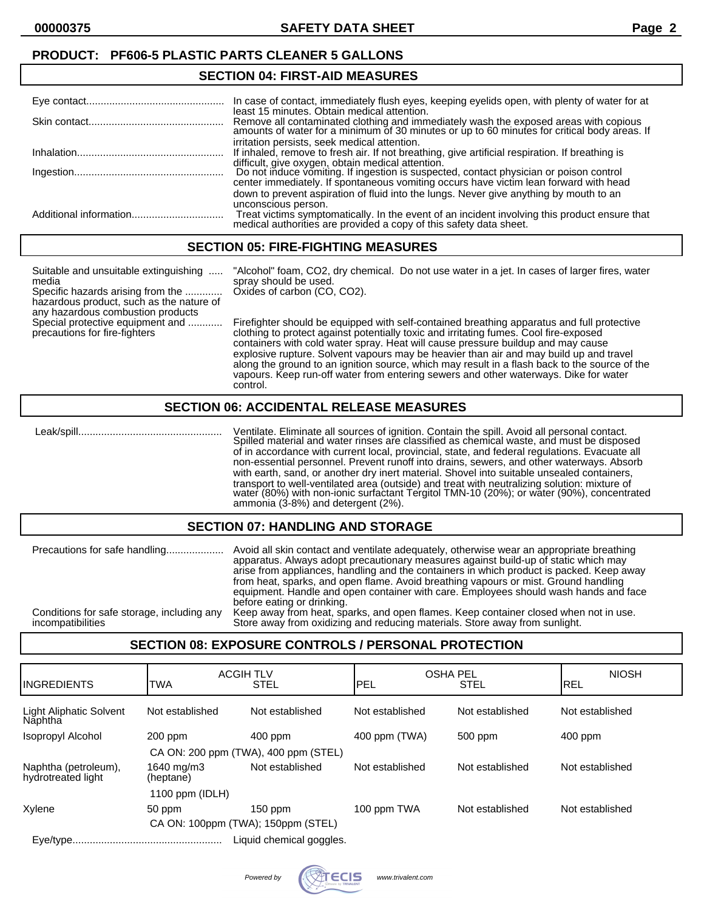# **SECTION 04: FIRST-AID MEASURES**

|            | In case of contact, immediately flush eyes, keeping eyelids open, with plenty of water for at                                                                                                                                        |
|------------|--------------------------------------------------------------------------------------------------------------------------------------------------------------------------------------------------------------------------------------|
|            | least 15 minutes. Obtain medical attention.<br>Remove all contaminated clothing and immediately wash the exposed areas with copious amounts of water for a minimum of 30 minutes or up to 60 minutes for critical body areas. If     |
| Inhalation | irritation persists, seek medical attention.<br>If inhaled, remove to fresh air. If not breathing, give artificial respiration. If breathing is                                                                                      |
|            | difficult, give oxygen, obtain medical attention.<br>Do not induce vomiting. If ingestion is suspected, contact physician or poison control<br>center immediately. If spontaneous vomiting occurs have victim lean forward with head |
|            | down to prevent aspiration of fluid into the lungs. Never give anything by mouth to an<br>unconscious person.                                                                                                                        |
|            | Treat victims symptomatically. In the event of an incident involving this product ensure that medical authorities are provided a copy of this safety data sheet.                                                                     |

## **SECTION 05: FIRE-FIGHTING MEASURES**

| Suitable and unsuitable extinguishing<br>media<br>Specific hazards arising from the<br>hazardous product, such as the nature of | "Alcohol" foam, CO2, dry chemical. Do not use water in a jet. In cases of larger fires, water<br>spray should be used.<br>Oxides of carbon (CO, CO2).                                                                                                                   |  |
|---------------------------------------------------------------------------------------------------------------------------------|-------------------------------------------------------------------------------------------------------------------------------------------------------------------------------------------------------------------------------------------------------------------------|--|
| any hazardous combustion products<br>Special protective equipment and<br>precautions for fire-fighters                          | Firefighter should be equipped with self-contained breathing apparatus and full protective<br>clothing to protect against potentially toxic and irritating fumes. Cool fire-exposed<br>containers with cold water spray. Heat will cause pressure buildup and may cause |  |

water spray. Heat will cause pressure buildup and water explosive rupture. Solvent vapours may be heavier than air and may build up and travel along the ground to an ignition source, which may result in a flash back to the source of the vapours. Keep run-off water from entering sewers and other waterways. Dike for water control.

#### **SECTION 06: ACCIDENTAL RELEASE MEASURES**

 Leak/spill.................................................. Ventilate. Eliminate all sources of ignition. Contain the spill. Avoid all personal contact. Spilled material and water rinses are classified as chemical waste, and must be disposed of in accordance with current local, provincial, state, and federal regulations. Evacuate all non-essential personnel. Prevent runoff into drains, sewers, and other waterways. Absorb with earth, sand, or another dry inert material. Shovel into suitable unsealed containers, transport to well-ventilated area (outside) and treat with neutralizing solution: mixture of water (80%) with non-ionic surfactant Tergitol TMN-10 (20%); or water (90%), concentrated ammonia (3-8%) and detergent (2%).

#### **SECTION 07: HANDLING AND STORAGE**

| Precautions for safe handling              | Avoid all skin contact and ventilate adequately, otherwise wear an appropriate breathing<br>apparatus. Always adopt precautionary measures against build-up of static which may<br>arise from appliances, handling and the containers in which product is packed. Keep away<br>from heat, sparks, and open flame. Avoid breathing vapours or mist. Ground handling<br>equipment. Handle and open container with care. Employees should wash hands and face<br>before eating or drinking. |
|--------------------------------------------|------------------------------------------------------------------------------------------------------------------------------------------------------------------------------------------------------------------------------------------------------------------------------------------------------------------------------------------------------------------------------------------------------------------------------------------------------------------------------------------|
| Conditions for safe storage, including any | Keep away from heat, sparks, and open flames. Keep container closed when not in use.                                                                                                                                                                                                                                                                                                                                                                                                     |
| incompatibilities                          | Store away from oxidizing and reducing materials. Store away from sunlight.                                                                                                                                                                                                                                                                                                                                                                                                              |

## **SECTION 08: EXPOSURE CONTROLS / PERSONAL PROTECTION**

| <b>IINGREDIENTS</b>                        | <b>ACGIH TLV</b><br><b>TWA</b> | <b>STEL</b>              | OSHA PEL<br>PEL | <b>STEL</b>     | <b>NIOSH</b><br><b>IREL</b> |
|--------------------------------------------|--------------------------------|--------------------------|-----------------|-----------------|-----------------------------|
| <b>Light Aliphatic Solvent</b><br>Năphtha  | Not established                | Not established          | Not established | Not established | Not established             |
| Isopropyl Alcohol                          | $200$ ppm                      | 400 ppm                  | 400 ppm (TWA)   | 500 ppm         | $400$ ppm                   |
| CA ON: 200 ppm (TWA), 400 ppm (STEL)       |                                |                          |                 |                 |                             |
| Naphtha (petroleum),<br>hydrotreated light | 1640 mg/m3<br>(heptane)        | Not established          | Not established | Not established | Not established             |
| 1100 ppm $(IDLH)$                          |                                |                          |                 |                 |                             |
| Xylene                                     | 50 ppm                         | $150$ ppm                | 100 ppm TWA     | Not established | Not established             |
| CA ON: 100ppm (TWA); 150ppm (STEL)         |                                |                          |                 |                 |                             |
|                                            |                                | Liquid chemical goggles. |                 |                 |                             |

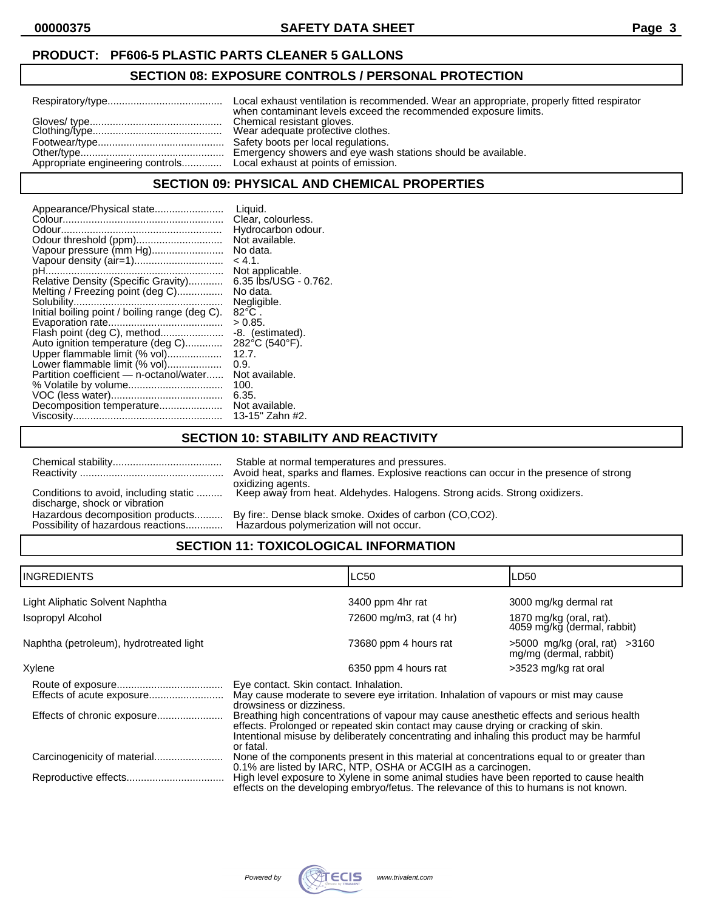## **PRODUCT: PF606-5 PLASTIC PARTS CLEANER 5 GALLONS**

## **SECTION 08: EXPOSURE CONTROLS / PERSONAL PROTECTION**

| Local exhaust ventilation is recommended. Wear an appropriate, properly fitted respirator<br>when contaminant levels exceed the recommended exposure limits. |
|--------------------------------------------------------------------------------------------------------------------------------------------------------------|
| Wear adequate profective clothes.<br>Emergency showers and eye wash stations should be available.                                                            |
|                                                                                                                                                              |

#### **SECTION 09: PHYSICAL AND CHEMICAL PROPERTIES**

| Appearance/Physical state                      | Liquid.               |
|------------------------------------------------|-----------------------|
|                                                | Clear, colourless.    |
|                                                | Hydrocarbon odour.    |
| Odour threshold (ppm)                          | Not available.        |
| Vapour pressure (mm Hg)                        | No data.              |
| Vapour density (air=1)                         | $-4.1$                |
|                                                | Not applicable.       |
| Relative Density (Specific Gravity)            | 6.35 lbs/USG - 0.762. |
| Melting / Freezing point (deg C)               | No data.              |
|                                                | Negligible.           |
| Initial boiling point / boiling range (deg C). | $82^{\circ}$ C.       |
|                                                | > 0.85.               |
| Flash point (deg C), method                    | -8. (estimated).      |
| Auto ignition temperature (deg C)              | 282°C (540°F).        |
| Upper flammable limit (% vol)                  | 12.7.                 |
| Lower flammable limit (% vol)                  | 0.9.                  |
| Partition coefficient - n-octanol/water        | Not available.        |
|                                                | 100.                  |
|                                                | 6.35.                 |
| Decomposition temperature                      | Not available.        |
|                                                | 13-15" Zahn #2.       |

## **SECTION 10: STABILITY AND REACTIVITY**

|                                                                        | Stable at normal temperatures and pressures.<br>Avoid heat, sparks and flames. Explosive reactions can occur in the presence of strong<br>oxidizing agents. |
|------------------------------------------------------------------------|-------------------------------------------------------------------------------------------------------------------------------------------------------------|
| Conditions to avoid, including static<br>discharge, shock or vibration | Keep away from heat. Aldehydes. Halogens. Strong acids. Strong oxidizers.                                                                                   |
| Hazardous decomposition products<br>Possibility of hazardous reactions | By fire:. Dense black smoke. Oxides of carbon (CO,CO2).<br>Hazardous polymerization will not occur.                                                         |

# **SECTION 11: TOXICOLOGICAL INFORMATION**

| <b>INGREDIENTS</b>                      |                                                                                                                                                                                                                                                                                        | LC50                    | LD50                                                        |
|-----------------------------------------|----------------------------------------------------------------------------------------------------------------------------------------------------------------------------------------------------------------------------------------------------------------------------------------|-------------------------|-------------------------------------------------------------|
| Light Aliphatic Solvent Naphtha         |                                                                                                                                                                                                                                                                                        | 3400 ppm 4hr rat        | 3000 mg/kg dermal rat                                       |
| <b>Isopropyl Alcohol</b>                |                                                                                                                                                                                                                                                                                        | 72600 mg/m3, rat (4 hr) | 1870 mg/kg (oral, rat).<br>4059 mg/kg (dermal, rabbit)      |
| Naphtha (petroleum), hydrotreated light |                                                                                                                                                                                                                                                                                        | 73680 ppm 4 hours rat   | $>5000$ mg/kg (oral, rat) $>3160$<br>mg/mg (dermal, rabbit) |
| Xylene                                  |                                                                                                                                                                                                                                                                                        | 6350 ppm 4 hours rat    | >3523 mg/kg rat oral                                        |
|                                         | Eye contact. Skin contact. Inhalation.<br>May cause moderate to severe eye irritation. Inhalation of vapours or mist may cause<br>drowsiness or dizziness.                                                                                                                             |                         |                                                             |
| Effects of chronic exposure             | Breathing high concentrations of vapour may cause anesthetic effects and serious health<br>effects. Prolonged or repeated skin contact may cause drying or cracking of skin.<br>Intentional misuse by deliberately concentrating and inhaling this product may be harmful<br>or fatal. |                         |                                                             |
|                                         | None of the components present in this material at concentrations equal to or greater than<br>0.1% are listed by IARC, NTP, OSHA or ACGIH as a carcinogen.                                                                                                                             |                         |                                                             |
|                                         | High level exposure to Xylene in some animal studies have been reported to cause health<br>effects on the developing embryo/fetus. The relevance of this to humans is not known.                                                                                                       |                         |                                                             |